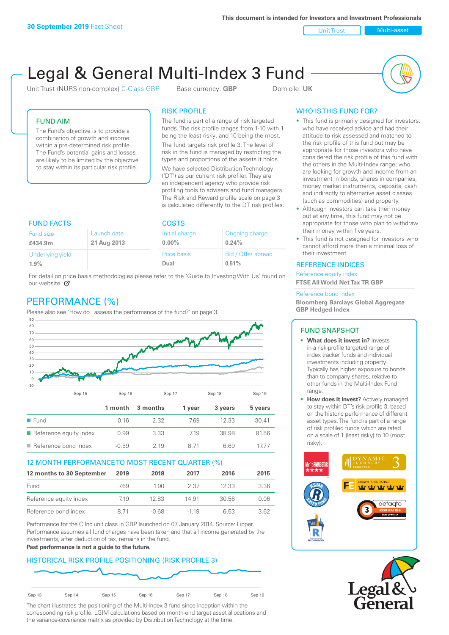**This document is intended for Investors and Investment Professionals**

Unit Trust Nulti-asset

# Legal & General Multi-Index 3 Fund

Unit Trust (NURS non-complex) C-Class GBP Base currency: **GBP** Domicile: UK



### FUND AIM

The Fund's objective is to provide a combination of growth and income within a pre-determined risk profile. The Fund's potential gains and losses are likely to be limited by the objective to stay within its particular risk profile.

### RISK PROFILE

The fund is part of a range of risk targeted funds. The risk profile ranges from 1-10 with 1 being the least risky, and 10 being the most.

The fund targets risk profile 3. The level of risk in the fund is managed by restricting the types and proportions of the assets it holds. We have selected Distribution Technology ('DT') as our current risk profiler. They are an independent agency who provide risk profiling tools to advisers and fund managers. The Risk and Reward profile scale on page 3 is calculated differently to the DT risk profiles.

| <b>FUND FACTS</b> |             | <b>COSTS</b>   |                    |  |
|-------------------|-------------|----------------|--------------------|--|
| Fund size         | Launch date | Initial charge | Ongoing charge     |  |
| £434.9m           | 21 Aug 2013 | $0.00\%$       | 0.24%              |  |
| Underlying yield  |             | Price basis    | Bid / Offer spread |  |
| 1.9%              |             | Dual           | 0.51%              |  |

For detail on price basis methodologies please refer to the 'Guide to Investing With Us' found on our website. Ø

# PERFORMANCE (%)

Please also see 'How do I assess the performance of the fund?' on page 3.



### 12 MONTH PERFORMANCE TO MOST RECENT QUARTER (%)

| 12 months to 30 September | 2019  | 2018    | 2017   | 2016  | 2015 |
|---------------------------|-------|---------|--------|-------|------|
| Fund                      | 769   | 1.90    | 2.37   | 12.33 | 3.36 |
| Reference equity index    | 7.19  | 12.83   | 14.91  | 30.56 | 0.06 |
| Reference bond index      | 8 7 1 | $-0.68$ | $-119$ | 6.53  | 3.62 |

Performance for the C Inc unit class in GBP, launched on 07 January 2014. Source: Lipper. Performance assumes all fund charges have been taken and that all income generated by the investments, after deduction of tax, remains in the fund.

### **Past performance is not a guide to the future.**

### HISTORICAL RISK PROFILE POSITIONING (RISK PROFILE 3)



The chart illustrates the positioning of the Multi-Index 3 fund since inception within the corresponding risk profile. LGIM calculations based on month-end target asset allocations and the variance-covariance matrix as provided by Distribution Technology at the time.

### WHO IS THIS FUND FOR?

- This fund is primarily designed for investors: who have received advice and had their attitude to risk assessed and matched to the risk profile of this fund but may be appropriate for those investors who have considered the risk profile of this fund with the others in the Multi-Index range; who are looking for growth and income from an investment in bonds, shares in companies, money market instruments, deposits, cash and indirectly to alternative asset classes (such as commodities) and property.
- Although investors can take their money out at any time, this fund may not be appropriate for those who plan to withdraw their money within five years.
- This fund is not designed for investors who cannot afford more than a minimal loss of their investment.

### REFERENCE INDICES

Reference equity index **FTSE All World Net Tax TR GBP**

#### Reference bond index

**Bloomberg Barclays Global Aggregate GBP Hedged Index**

### FUND SNAPSHOT

- **• What does it invest in?** Invests in a risk-profile targeted range of index tracker funds and individual investments including property. Typically has higher exposure to bonds than to company shares, relative to other funds in the Multi-Index Fund range.
- **• How does it invest?** Actively managed to stay within DT's risk profile 3, based on the historic performance of different asset types. The fund is part of a range of risk profiled funds which are rated on a scale of 1 (least risky) to 10 (most risky).



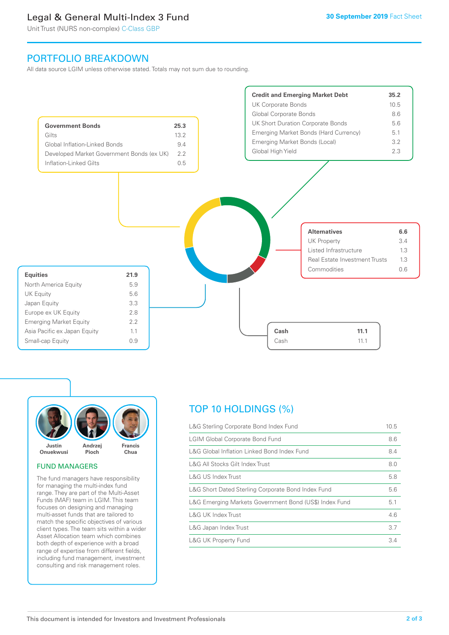### Legal & General Multi-Index 3 Fund

Unit Trust (NURS non-complex) C-Class GBP

### PORTFOLIO BREAKDOWN

All data source LGIM unless otherwise stated. Totals may not sum due to rounding.





### FUND MANAGERS

The fund managers have responsibility for managing the multi-index fund range. They are part of the Multi-Asset Funds (MAF) team in LGIM. This team focuses on designing and managing multi-asset funds that are tailored to match the specific objectives of various client types. The team sits within a wider Asset Allocation team which combines both depth of experience with a broad range of expertise from different fields, including fund management, investment consulting and risk management roles.

## TOP 10 HOLDINGS (%)

| L&G Sterling Corporate Bond Index Fund                 | 10.5 |
|--------------------------------------------------------|------|
| <b>LGIM Global Corporate Bond Fund</b>                 | 8.6  |
| L&G Global Inflation Linked Bond Index Fund            | 8.4  |
| L&G All Stocks Gilt Index Trust                        | 8.0  |
| <b>L&amp;G US Index Trust</b>                          | 5.8  |
| L&G Short Dated Sterling Corporate Bond Index Fund     | 5.6  |
| L&G Emerging Markets Government Bond (US\$) Index Fund | 5.1  |
| <b>L&amp;G UK Index Trust</b>                          | 4.6  |
| L&G Japan Index Trust                                  | 3.7  |
| <b>L&amp;G UK Property Fund</b>                        | 3.4  |